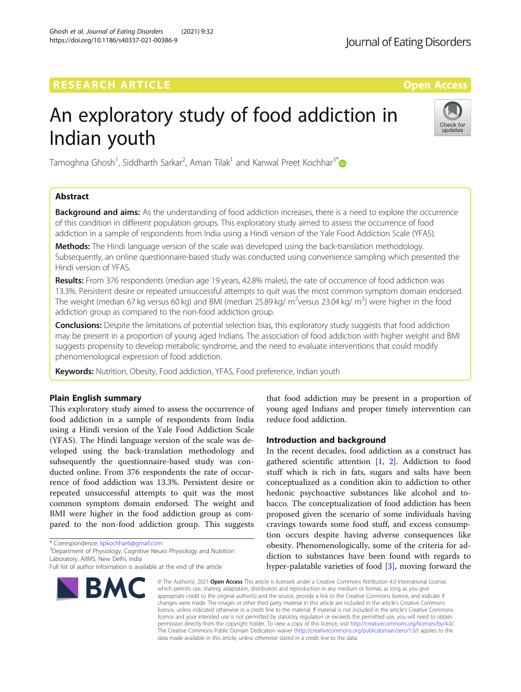# **RESEARCH ARTICLE External Structure Control Control Control Control Control Control Control Control Control Control Control Control Control Control Control Control Control Control Control Control Control Control Control**

# An exploratory study of food addiction in Indian youth

Tamoghna Ghosh<sup>1</sup>, Siddharth Sarkar<sup>2</sup>, Aman Tilak<sup>1</sup> and Kanwal Preet Kochhar<sup>3[\\*](http://orcid.org/0000-0003-3458-3657)</sup>

# Abstract

**Background and aims:** As the understanding of food addiction increases, there is a need to explore the occurrence of this condition in different population groups. This exploratory study aimed to assess the occurrence of food addiction in a sample of respondents from India using a Hindi version of the Yale Food Addiction Scale (YFAS).

**Methods:** The Hindi language version of the scale was developed using the back-translation methodology. Subsequently, an online questionnaire-based study was conducted using convenience sampling which presented the Hindi version of YFAS.

Results: From 376 respondents (median age 19 years, 42.8% males), the rate of occurrence of food addiction was 13.3%. Persistent desire or repeated unsuccessful attempts to quit was the most common symptom domain endorsed. The weight (median 67 kg versus 60 kg) and BMI (median 25.89 kg/ m<sup>2</sup>versus 23.04 kg/ m<sup>2</sup>) were higher in the food addiction group as compared to the non-food addiction group.

Conclusions: Despite the limitations of potential selection bias, this exploratory study suggests that food addiction may be present in a proportion of young aged Indians. The association of food addiction with higher weight and BMI suggests propensity to develop metabolic syndrome, and the need to evaluate interventions that could modify phenomenological expression of food addiction.

Keywords: Nutrition, Obesity, Food addiction, YFAS, Food preference, Indian youth

# Plain English summary

This exploratory study aimed to assess the occurrence of food addiction in a sample of respondents from India using a Hindi version of the Yale Food Addiction Scale (YFAS). The Hindi language version of the scale was developed using the back-translation methodology and subsequently the questionnaire-based study was conducted online. From 376 respondents the rate of occurrence of food addiction was 13.3%. Persistent desire or repeated unsuccessful attempts to quit was the most common symptom domain endorsed. The weight and BMI were higher in the food addiction group as compared to the non-food addiction group. This suggests

\* Correspondence: [kpkochhar6@gmail.com](mailto:kpkochhar6@gmail.com) <sup>3</sup>

<sup>3</sup>Department of Physiology, Cognitive Neuro Physiology and Nutrition Laboratory, AIIMS, New Delhi, India

that food addiction may be present in a proportion of young aged Indians and proper timely intervention can reduce food addiction.

# Introduction and background

In the recent decades, food addiction as a construct has gathered scientific attention [\[1](#page-4-0), [2\]](#page-4-0). Addiction to food stuff which is rich in fats, sugars and salts have been conceptualized as a condition akin to addiction to other hedonic psychoactive substances like alcohol and tobacco. The conceptualization of food addiction has been proposed given the scenario of some individuals having cravings towards some food stuff, and excess consumption occurs despite having adverse consequences like obesity. Phenomenologically, some of the criteria for addiction to substances have been found with regards to hyper-palatable varieties of food [\[3](#page-4-0)], moving forward the

© The Author(s), 2021 **Open Access** This article is licensed under a Creative Commons Attribution 4.0 International License, which permits use, sharing, adaptation, distribution and reproduction in any medium or format, as long as you give appropriate credit to the original author(s) and the source, provide a link to the Creative Commons licence, and indicate if changes were made. The images or other third party material in this article are included in the article's Creative Commons licence, unless indicated otherwise in a credit line to the material. If material is not included in the article's Creative Commons licence and your intended use is not permitted by statutory regulation or exceeds the permitted use, you will need to obtain permission directly from the copyright holder. To view a copy of this licence, visit [http://creativecommons.org/licenses/by/4.0/.](http://creativecommons.org/licenses/by/4.0/) The Creative Commons Public Domain Dedication waiver [\(http://creativecommons.org/publicdomain/zero/1.0/](http://creativecommons.org/publicdomain/zero/1.0/)) applies to the data made available in this article, unless otherwise stated in a credit line to the data.







Full list of author information is available at the end of the article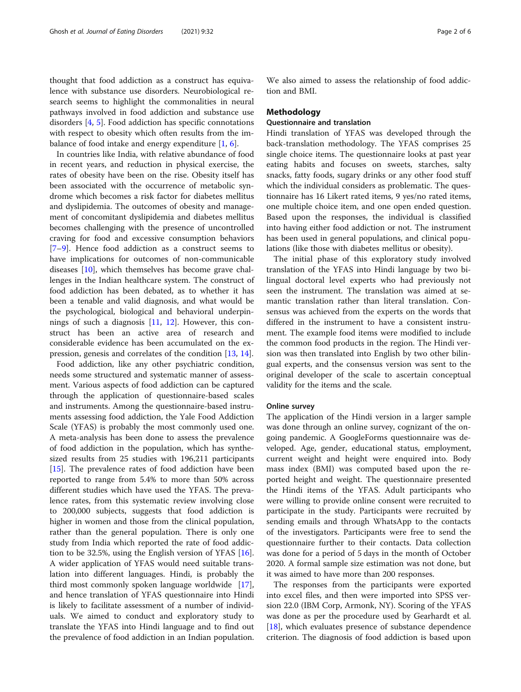thought that food addiction as a construct has equivalence with substance use disorders. Neurobiological research seems to highlight the commonalities in neural pathways involved in food addiction and substance use disorders [\[4](#page-4-0), [5](#page-4-0)]. Food addiction has specific connotations with respect to obesity which often results from the imbalance of food intake and energy expenditure  $[1, 6]$  $[1, 6]$  $[1, 6]$  $[1, 6]$ .

In countries like India, with relative abundance of food in recent years, and reduction in physical exercise, the rates of obesity have been on the rise. Obesity itself has been associated with the occurrence of metabolic syndrome which becomes a risk factor for diabetes mellitus and dyslipidemia. The outcomes of obesity and management of concomitant dyslipidemia and diabetes mellitus becomes challenging with the presence of uncontrolled craving for food and excessive consumption behaviors [[7](#page-4-0)–[9\]](#page-4-0). Hence food addiction as a construct seems to have implications for outcomes of non-communicable diseases [\[10\]](#page-5-0), which themselves has become grave challenges in the Indian healthcare system. The construct of food addiction has been debated, as to whether it has been a tenable and valid diagnosis, and what would be the psychological, biological and behavioral underpinnings of such a diagnosis [\[11](#page-5-0), [12\]](#page-5-0). However, this construct has been an active area of research and considerable evidence has been accumulated on the expression, genesis and correlates of the condition [[13,](#page-5-0) [14\]](#page-5-0).

Food addiction, like any other psychiatric condition, needs some structured and systematic manner of assessment. Various aspects of food addiction can be captured through the application of questionnaire-based scales and instruments. Among the questionnaire-based instruments assessing food addiction, the Yale Food Addiction Scale (YFAS) is probably the most commonly used one. A meta-analysis has been done to assess the prevalence of food addiction in the population, which has synthesized results from 25 studies with 196,211 participants [[15\]](#page-5-0). The prevalence rates of food addiction have been reported to range from 5.4% to more than 50% across different studies which have used the YFAS. The prevalence rates, from this systematic review involving close to 200,000 subjects, suggests that food addiction is higher in women and those from the clinical population, rather than the general population. There is only one study from India which reported the rate of food addiction to be 32.5%, using the English version of YFAS [\[16](#page-5-0)]. A wider application of YFAS would need suitable translation into different languages. Hindi, is probably the third most commonly spoken language worldwide [\[17](#page-5-0)], and hence translation of YFAS questionnaire into Hindi is likely to facilitate assessment of a number of individuals. We aimed to conduct and exploratory study to translate the YFAS into Hindi language and to find out the prevalence of food addiction in an Indian population. We also aimed to assess the relationship of food addiction and BMI.

## Methodology

# Questionnaire and translation

Hindi translation of YFAS was developed through the back-translation methodology. The YFAS comprises 25 single choice items. The questionnaire looks at past year eating habits and focuses on sweets, starches, salty snacks, fatty foods, sugary drinks or any other food stuff which the individual considers as problematic. The questionnaire has 16 Likert rated items, 9 yes/no rated items, one multiple choice item, and one open ended question. Based upon the responses, the individual is classified into having either food addiction or not. The instrument has been used in general populations, and clinical populations (like those with diabetes mellitus or obesity).

The initial phase of this exploratory study involved translation of the YFAS into Hindi language by two bilingual doctoral level experts who had previously not seen the instrument. The translation was aimed at semantic translation rather than literal translation. Consensus was achieved from the experts on the words that differed in the instrument to have a consistent instrument. The example food items were modified to include the common food products in the region. The Hindi version was then translated into English by two other bilingual experts, and the consensus version was sent to the original developer of the scale to ascertain conceptual validity for the items and the scale.

## Online survey

The application of the Hindi version in a larger sample was done through an online survey, cognizant of the ongoing pandemic. A GoogleForms questionnaire was developed. Age, gender, educational status, employment, current weight and height were enquired into. Body mass index (BMI) was computed based upon the reported height and weight. The questionnaire presented the Hindi items of the YFAS. Adult participants who were willing to provide online consent were recruited to participate in the study. Participants were recruited by sending emails and through WhatsApp to the contacts of the investigators. Participants were free to send the questionnaire further to their contacts. Data collection was done for a period of 5 days in the month of October 2020. A formal sample size estimation was not done, but it was aimed to have more than 200 responses.

The responses from the participants were exported into excel files, and then were imported into SPSS version 22.0 (IBM Corp, Armonk, NY). Scoring of the YFAS was done as per the procedure used by Gearhardt et al. [[18\]](#page-5-0), which evaluates presence of substance dependence criterion. The diagnosis of food addiction is based upon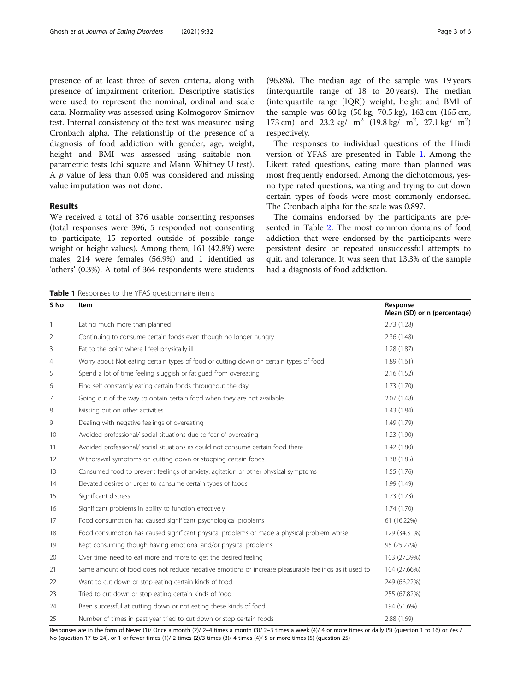presence of at least three of seven criteria, along with presence of impairment criterion. Descriptive statistics were used to represent the nominal, ordinal and scale data. Normality was assessed using Kolmogorov Smirnov test. Internal consistency of the test was measured using Cronbach alpha. The relationship of the presence of a diagnosis of food addiction with gender, age, weight, height and BMI was assessed using suitable nonparametric tests (chi square and Mann Whitney U test). A  $p$  value of less than 0.05 was considered and missing value imputation was not done.

## Results

We received a total of 376 usable consenting responses (total responses were 396, 5 responded not consenting to participate, 15 reported outside of possible range weight or height values). Among them, 161 (42.8%) were males, 214 were females (56.9%) and 1 identified as 'others' (0.3%). A total of 364 respondents were students (96.8%). The median age of the sample was 19 years (interquartile range of 18 to 20 years). The median (interquartile range [IQR]) weight, height and BMI of the sample was 60 kg (50 kg, 70.5 kg), 162 cm (155 cm, 173 cm) and  $23.2 \text{ kg} / \text{ m}^2$  (19.8 kg/ m<sup>2</sup>, 27.1 kg/ m<sup>2</sup>) respectively.

The responses to individual questions of the Hindi version of YFAS are presented in Table 1. Among the Likert rated questions, eating more than planned was most frequently endorsed. Among the dichotomous, yesno type rated questions, wanting and trying to cut down certain types of foods were most commonly endorsed. The Cronbach alpha for the scale was 0.897.

The domains endorsed by the participants are presented in Table [2.](#page-3-0) The most common domains of food addiction that were endorsed by the participants were persistent desire or repeated unsuccessful attempts to quit, and tolerance. It was seen that 13.3% of the sample had a diagnosis of food addiction.

Table 1 Responses to the YFAS questionnaire items

| S No         | Item                                                                                                 | Response<br>Mean (SD) or n (percentage) |
|--------------|------------------------------------------------------------------------------------------------------|-----------------------------------------|
| $\mathbf{1}$ | Eating much more than planned                                                                        | 2.73(1.28)                              |
| 2            | Continuing to consume certain foods even though no longer hungry                                     | 2.36(1.48)                              |
| 3            | Eat to the point where I feel physically ill                                                         | 1.28(1.87)                              |
| 4            | Worry about Not eating certain types of food or cutting down on certain types of food                | 1.89(1.61)                              |
| 5            | Spend a lot of time feeling sluggish or fatigued from overeating                                     | 2.16(1.52)                              |
| 6            | Find self constantly eating certain foods throughout the day                                         | 1.73(1.70)                              |
| 7            | Going out of the way to obtain certain food when they are not available                              | 2.07(1.48)                              |
| 8            | Missing out on other activities                                                                      | 1.43(1.84)                              |
| 9            | Dealing with negative feelings of overeating                                                         | 1.49(1.79)                              |
| 10           | Avoided professional/ social situations due to fear of overeating                                    | 1.23(1.90)                              |
| 11           | Avoided professional/ social situations as could not consume certain food there                      | 1.42(1.80)                              |
| 12           | Withdrawal symptoms on cutting down or stopping certain foods                                        | 1.38(1.85)                              |
| 13           | Consumed food to prevent feelings of anxiety, agitation or other physical symptoms                   | 1.55(1.76)                              |
| 14           | Elevated desires or urges to consume certain types of foods                                          | 1.99(1.49)                              |
| 15           | Significant distress                                                                                 | 1.73(1.73)                              |
| 16           | Significant problems in ability to function effectively                                              | 1.74(1.70)                              |
| 17           | Food consumption has caused significant psychological problems                                       | 61 (16.22%)                             |
| 18           | Food consumption has caused significant physical problems or made a physical problem worse           | 129 (34.31%)                            |
| 19           | Kept consuming though having emotional and/or physical problems                                      | 95 (25.27%)                             |
| 20           | Over time, need to eat more and more to get the desired feeling                                      | 103 (27.39%)                            |
| 21           | Same amount of food does not reduce negative emotions or increase pleasurable feelings as it used to | 104 (27.66%)                            |
| 22           | Want to cut down or stop eating certain kinds of food.                                               | 249 (66.22%)                            |
| 23           | Tried to cut down or stop eating certain kinds of food                                               | 255 (67.82%)                            |
| 24           | Been successful at cutting down or not eating these kinds of food                                    | 194 (51.6%)                             |
| 25           | Number of times in past year tried to cut down or stop certain foods                                 | 2.88(1.69)                              |

Responses are in the form of Never (1)/ Once a month (2)/ 2–4 times a month (3)/ 2–3 times a week (4)/ 4 or more times or daily (5) (question 1 to 16) or Yes / No (question 17 to 24), or 1 or fewer times (1)/ 2 times (2)/3 times (3)/ 4 times (4)/ 5 or more times (5) (question 25)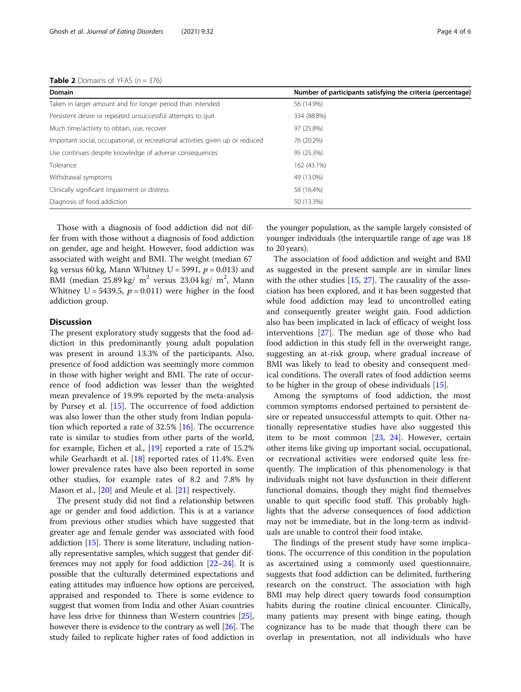<span id="page-3-0"></span>

| <b>Domain</b>                                                                  | Number of participants satisfying the criteria (percentage) |  |
|--------------------------------------------------------------------------------|-------------------------------------------------------------|--|
| Taken in larger amount and for longer period than intended                     | 56 (14.9%)                                                  |  |
| Persistent desire or repeated unsuccessful attempts to quit                    | 334 (88.8%)                                                 |  |
| Much time/activity to obtain, use, recover                                     | 97 (25.8%)                                                  |  |
| Important social, occupational, or recreational activities given up or reduced | 76 (20.2%)                                                  |  |
| Use continues despite knowledge of adverse consequences                        | 95 (25.3%)                                                  |  |
| Tolerance                                                                      | 162 (43.1%)                                                 |  |
| Withdrawal symptoms                                                            | 49 (13.0%)                                                  |  |
| Clinically significant impairment or distress                                  | 58 (16.4%)                                                  |  |

Those with a diagnosis of food addiction did not differ from with those without a diagnosis of food addiction on gender, age and height. However, food addiction was associated with weight and BMI. The weight (median 67 kg versus 60 kg, Mann Whitney U = 5991,  $p = 0.013$ ) and BMI (median  $25.89 \text{ kg}$ / m<sup>2</sup> versus  $23.04 \text{ kg}$ / m<sup>2</sup>, Mann Whitney U = 5439.5,  $p = 0.011$ ) were higher in the food addiction group.

Diagnosis of food addiction 50 (13.3%)

# **Discussion**

The present exploratory study suggests that the food addiction in this predominantly young adult population was present in around 13.3% of the participants. Also, presence of food addiction was seemingly more common in those with higher weight and BMI. The rate of occurrence of food addiction was lesser than the weighted mean prevalence of 19.9% reported by the meta-analysis by Pursey et al. [\[15](#page-5-0)]. The occurrence of food addiction was also lower than the other study from Indian population which reported a rate of 32.5% [[16\]](#page-5-0). The occurrence rate is similar to studies from other parts of the world, for example, Eichen et al., [[19](#page-5-0)] reported a rate of 15.2% while Gearhardt et al.  $[18]$  $[18]$  reported rates of 11.4%. Even lower prevalence rates have also been reported in some other studies, for example rates of 8.2 and 7.8% by Mason et al., [\[20](#page-5-0)] and Meule et al. [[21](#page-5-0)] respectively.

The present study did not find a relationship between age or gender and food addiction. This is at a variance from previous other studies which have suggested that greater age and female gender was associated with food addiction [\[15\]](#page-5-0). There is some literature, including nationally representative samples, which suggest that gender differences may not apply for food addiction [\[22](#page-5-0)–[24\]](#page-5-0). It is possible that the culturally determined expectations and eating attitudes may influence how options are perceived, appraised and responded to. There is some evidence to suggest that women from India and other Asian countries have less drive for thinness than Western countries [[25](#page-5-0)], however there is evidence to the contrary as well [\[26\]](#page-5-0). The study failed to replicate higher rates of food addiction in

the younger population, as the sample largely consisted of younger individuals (the interquartile range of age was 18 to 20 years).

The association of food addiction and weight and BMI as suggested in the present sample are in similar lines with the other studies [[15](#page-5-0), [27](#page-5-0)]. The causality of the association has been explored, and it has been suggested that while food addiction may lead to uncontrolled eating and consequently greater weight gain. Food addiction also has been implicated in lack of efficacy of weight loss interventions [\[27](#page-5-0)]. The median age of those who had food addiction in this study fell in the overweight range, suggesting an at-risk group, where gradual increase of BMI was likely to lead to obesity and consequent medical conditions. The overall rates of food addiction seems to be higher in the group of obese individuals [[15\]](#page-5-0).

Among the symptoms of food addiction, the most common symptoms endorsed pertained to persistent desire or repeated unsuccessful attempts to quit. Other nationally representative studies have also suggested this item to be most common [\[23](#page-5-0), [24\]](#page-5-0). However, certain other items like giving up important social, occupational, or recreational activities were endorsed quite less frequently. The implication of this phenomenology is that individuals might not have dysfunction in their different functional domains, though they might find themselves unable to quit specific food stuff. This probably highlights that the adverse consequences of food addiction may not be immediate, but in the long-term as individuals are unable to control their food intake.

The findings of the present study have some implications. The occurrence of this condition in the population as ascertained using a commonly used questionnaire, suggests that food addiction can be delimited, furthering research on the construct. The association with high BMI may help direct query towards food consumption habits during the routine clinical encounter. Clinically, many patients may present with binge eating, though cognizance has to be made that though there can be overlap in presentation, not all individuals who have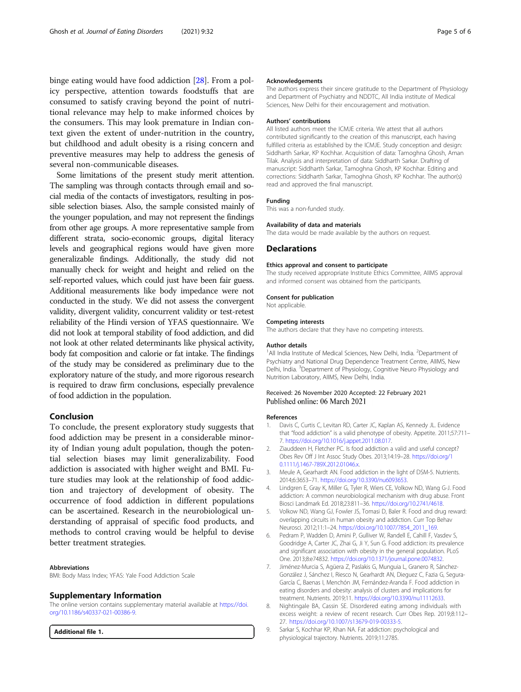<span id="page-4-0"></span>binge eating would have food addiction [[28\]](#page-5-0). From a policy perspective, attention towards foodstuffs that are consumed to satisfy craving beyond the point of nutritional relevance may help to make informed choices by the consumers. This may look premature in Indian context given the extent of under-nutrition in the country, but childhood and adult obesity is a rising concern and preventive measures may help to address the genesis of several non-communicable diseases.

Some limitations of the present study merit attention. The sampling was through contacts through email and social media of the contacts of investigators, resulting in possible selection biases. Also, the sample consisted mainly of the younger population, and may not represent the findings from other age groups. A more representative sample from different strata, socio-economic groups, digital literacy levels and geographical regions would have given more generalizable findings. Additionally, the study did not manually check for weight and height and relied on the self-reported values, which could just have been fair guess. Additional measurements like body impedance were not conducted in the study. We did not assess the convergent validity, divergent validity, concurrent validity or test-retest reliability of the Hindi version of YFAS questionnaire. We did not look at temporal stability of food addiction, and did not look at other related determinants like physical activity, body fat composition and calorie or fat intake. The findings of the study may be considered as preliminary due to the exploratory nature of the study, and more rigorous research is required to draw firm conclusions, especially prevalence of food addiction in the population.

# Conclusion

To conclude, the present exploratory study suggests that food addiction may be present in a considerable minority of Indian young adult population, though the potential selection biases may limit generalizability. Food addiction is associated with higher weight and BMI. Future studies may look at the relationship of food addiction and trajectory of development of obesity. The occurrence of food addiction in different populations can be ascertained. Research in the neurobiological understanding of appraisal of specific food products, and methods to control craving would be helpful to devise better treatment strategies.

#### Abbreviations

BMI: Body Mass Index; YFAS: Yale Food Addiction Scale

#### Supplementary Information

The online version contains supplementary material available at [https://doi.](https://doi.org/10.1186/s40337-021-00386-9) [org/10.1186/s40337-021-00386-9.](https://doi.org/10.1186/s40337-021-00386-9)

Additional file 1.

#### Acknowledgements

The authors express their sincere gratitude to the Department of Physiology and Department of Psychiatry and NDDTC, All India institute of Medical Sciences, New Delhi for their encouragement and motivation.

#### Authors' contributions

All listed authors meet the ICMJE criteria. We attest that all authors contributed significantly to the creation of this manuscript, each having fulfilled criteria as established by the ICMJE. Study conception and design: Siddharth Sarkar, KP Kochhar. Acquisition of data: Tamoghna Ghosh, Aman Tilak. Analysis and interpretation of data: Siddharth Sarkar. Drafting of manuscript: Siddharth Sarkar, Tamoghna Ghosh, KP Kochhar. Editing and corrections: Siddharth Sarkar, Tamoghna Ghosh, KP Kochhar. The author(s) read and approved the final manuscript.

### Funding

This was a non-funded study.

#### Availability of data and materials

The data would be made available by the authors on request.

#### Declarations

#### Ethics approval and consent to participate

The study received appropriate Institute Ethics Committee, AIIMS approval and informed consent was obtained from the participants.

#### Consent for publication

Not applicable.

#### Competing interests

The authors declare that they have no competing interests.

#### Author details

<sup>1</sup>All India Institute of Medical Sciences, New Delhi, India. <sup>2</sup>Department of Psychiatry and National Drug Dependence Treatment Centre, AIIMS, New Delhi, India. <sup>3</sup>Department of Physiology, Cognitive Neuro Physiology and Nutrition Laboratory, AIIMS, New Delhi, India.

#### Received: 26 November 2020 Accepted: 22 February 2021 Published online: 06 March 2021

#### References

- 1. Davis C, Curtis C, Levitan RD, Carter JC, Kaplan AS, Kennedy JL. Evidence that "food addiction" is a valid phenotype of obesity. Appetite. 2011;57:711– 7. <https://doi.org/10.1016/j.appet.2011.08.017>.
- 2. Ziauddeen H, Fletcher PC. Is food addiction a valid and useful concept? Obes Rev Off J Int Assoc Study Obes. 2013;14:19–28. [https://doi.org/1](https://doi.org/10.1111/j.1467-789X.2012.01046.x) [0.1111/j.1467-789X.2012.01046.x](https://doi.org/10.1111/j.1467-789X.2012.01046.x).
- 3. Meule A, Gearhardt AN. Food addiction in the light of DSM-5. Nutrients. 2014;6:3653–71. <https://doi.org/10.3390/nu6093653>.
- 4. Lindgren E, Gray K, Miller G, Tyler R, Wiers CE, Volkow ND, Wang G-J. Food addiction: A common neurobiological mechanism with drug abuse. Front Biosci Landmark Ed. 2018;23:811–36. <https://doi.org/10.2741/4618>.
- Volkow ND, Wang GJ, Fowler JS, Tomasi D, Baler R. Food and drug reward: overlapping circuits in human obesity and addiction. Curr Top Behav Neurosci. 2012;11:1–24. [https://doi.org/10.1007/7854\\_2011\\_169.](https://doi.org/10.1007/7854_2011_169)
- 6. Pedram P, Wadden D, Amini P, Gulliver W, Randell E, Cahill F, Vasdev S, Goodridge A, Carter JC, Zhai G, Ji Y, Sun G. Food addiction: its prevalence and significant association with obesity in the general population. PLoS One. 2013;8:e74832. <https://doi.org/10.1371/journal.pone.0074832>.
- 7. Jiménez-Murcia S, Agüera Z, Paslakis G, Munguia L, Granero R, Sánchez-González J, Sánchez I, Riesco N, Gearhardt AN, Dieguez C, Fazia G, Segura-García C, Baenas I, Menchón JM, Fernández-Aranda F. Food addiction in eating disorders and obesity: analysis of clusters and implications for treatment. Nutrients. 2019;11. <https://doi.org/10.3390/nu11112633>.
- 8. Nightingale BA, Cassin SE. Disordered eating among individuals with excess weight: a review of recent research. Curr Obes Rep. 2019;8:112– 27. <https://doi.org/10.1007/s13679-019-00333-5>.
- 9. Sarkar S, Kochhar KP, Khan NA. Fat addiction: psychological and physiological trajectory. Nutrients. 2019;11:2785.